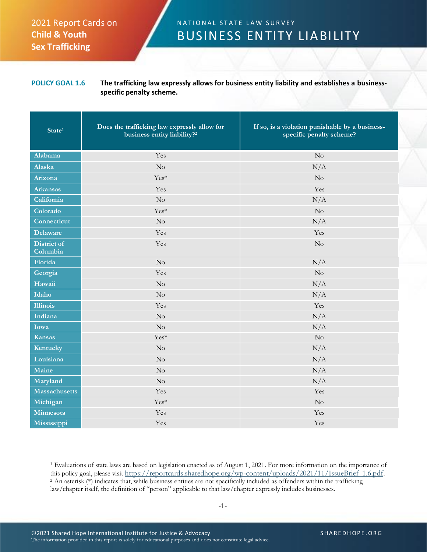## 2021 Report Cards on **Child & Youth Sex Trafficking**

## N A T I O N A L S T A T E L A W S U R V E Y BUSINESS ENTITY LIABILITY

## **POLICY GOAL 1.6 The trafficking law expressly allows for business entity liability and establishes a businessspecific penalty scheme.**

| State <sup>1</sup>             | Does the trafficking law expressly allow for<br>business entity liability? <sup>2</sup> | If so, is a violation punishable by a business-<br>specific penalty scheme? |
|--------------------------------|-----------------------------------------------------------------------------------------|-----------------------------------------------------------------------------|
| Alabama                        | Yes                                                                                     | $\rm No$                                                                    |
| Alaska                         | $\rm No$                                                                                | N/A                                                                         |
| Arizona                        | Yes*                                                                                    | No                                                                          |
| <b>Arkansas</b>                | Yes                                                                                     | Yes                                                                         |
| California                     | No                                                                                      | N/A                                                                         |
| Colorado                       | Yes*                                                                                    | $\rm No$                                                                    |
| Connecticut                    | No                                                                                      | N/A                                                                         |
| <b>Delaware</b>                | Yes                                                                                     | Yes                                                                         |
| <b>District of</b><br>Columbia | Yes                                                                                     | No                                                                          |
| Florida                        | No                                                                                      | N/A                                                                         |
| Georgia                        | Yes                                                                                     | No                                                                          |
| Hawaii                         | No                                                                                      | N/A                                                                         |
| Idaho                          | No                                                                                      | N/A                                                                         |
| Illinois                       | Yes                                                                                     | Yes                                                                         |
| Indiana                        | No                                                                                      | N/A                                                                         |
| Iowa                           | No                                                                                      | N/A                                                                         |
| <b>Kansas</b>                  | Yes*                                                                                    | $\rm No$                                                                    |
| Kentucky                       | $\rm No$                                                                                | N/A                                                                         |
| Louisiana                      | No                                                                                      | N/A                                                                         |
| Maine                          | No                                                                                      | N/A                                                                         |
| Maryland                       | No                                                                                      | N/A                                                                         |
| <b>Massachusetts</b>           | Yes                                                                                     | Yes                                                                         |
| Michigan                       | Yes*                                                                                    | $\rm No$                                                                    |
| Minnesota                      | Yes                                                                                     | Yes                                                                         |
| Mississippi                    | Yes                                                                                     | Yes                                                                         |

<sup>1</sup> Evaluations of state laws are based on legislation enacted as of August 1, 2021. For more information on the importance of this policy goal, please visit https://reportcards.sharedhope.org/wp-content/uploads/2021/11/IssueBrief\_1.6.pdf. <sup>2</sup> An asterisk (\*) indicates that, while business entities are not specifically included as offenders within the trafficking law/chapter itself, the definition of "person" applicable to that law/chapter expressly includes businesses.